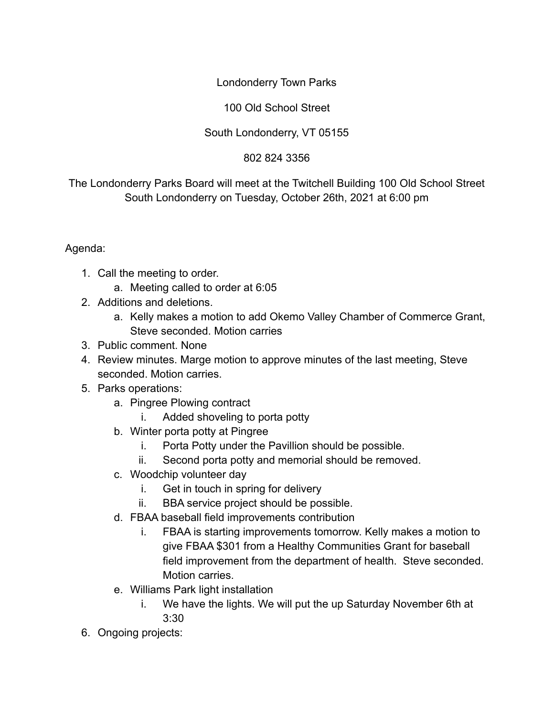## Londonderry Town Parks

## 100 Old School Street

## South Londonderry, VT 05155

## 802 824 3356

The Londonderry Parks Board will meet at the Twitchell Building 100 Old School Street South Londonderry on Tuesday, October 26th, 2021 at 6:00 pm

Agenda:

- 1. Call the meeting to order.
	- a. Meeting called to order at 6:05
- 2. Additions and deletions.
	- a. Kelly makes a motion to add Okemo Valley Chamber of Commerce Grant, Steve seconded. Motion carries
- 3. Public comment. None
- 4. Review minutes. Marge motion to approve minutes of the last meeting, Steve seconded. Motion carries.
- 5. Parks operations:
	- a. Pingree Plowing contract
		- i. Added shoveling to porta potty
	- b. Winter porta potty at Pingree
		- i. Porta Potty under the Pavillion should be possible.
		- ii. Second porta potty and memorial should be removed.
	- c. Woodchip volunteer day
		- i. Get in touch in spring for delivery
		- ii. BBA service project should be possible.
	- d. FBAA baseball field improvements contribution
		- i. FBAA is starting improvements tomorrow. Kelly makes a motion to give FBAA \$301 from a Healthy Communities Grant for baseball field improvement from the department of health. Steve seconded. Motion carries.
	- e. Williams Park light installation
		- i. We have the lights. We will put the up Saturday November 6th at 3:30
- 6. Ongoing projects: